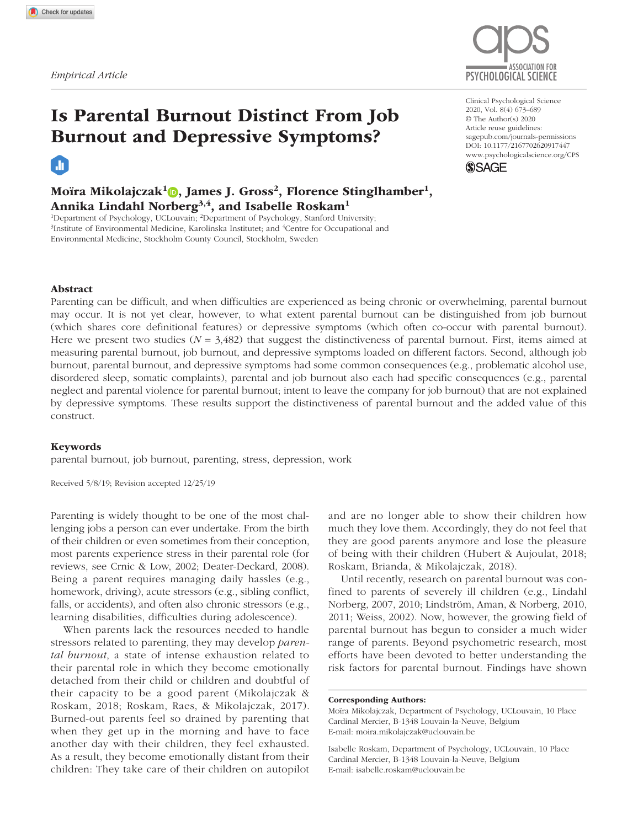m



# Is Parental Burnout Distinct From Job Burnout and Depressive Symptoms?

Moïra Mikolajczak<sup>1</sup>**D**, James J. Gross<sup>2</sup>, Florence Stinglhamber<sup>1</sup>, Annika Lindahl Norberg<sup>3,4</sup>, and Isabelle Roskam<sup>1</sup>

<sup>1</sup>Department of Psychology, UCLouvain; <sup>2</sup>Department of Psychology, Stanford University;<br><sup>3</sup>Institute of Environmental Medicine, Karolinska Institutet: and <sup>4</sup>Centre for Occupational a Institute of Environmental Medicine, Karolinska Institutet; and 4 Centre for Occupational and Environmental Medicine, Stockholm County Council, Stockholm, Sweden

Clinical Psychological Science 2020, Vol. 8(4) 673–689 © The Author(s) 2020 Article reuse guidelines: [sagepub.com/journals-permissions](https://us.sagepub.com/en-us/journals-permissions) https://doi.org/10.1177/2167702620917447 DOI: 10.1177/2167702620917447 [www.psychologicalscience.org/](http://www.psychologicalscience.org/cps)CPS **SSAGE** 

## Abstract

Parenting can be difficult, and when difficulties are experienced as being chronic or overwhelming, parental burnout may occur. It is not yet clear, however, to what extent parental burnout can be distinguished from job burnout (which shares core definitional features) or depressive symptoms (which often co-occur with parental burnout). Here we present two studies  $(N = 3,482)$  that suggest the distinctiveness of parental burnout. First, items aimed at measuring parental burnout, job burnout, and depressive symptoms loaded on different factors. Second, although job burnout, parental burnout, and depressive symptoms had some common consequences (e.g., problematic alcohol use, disordered sleep, somatic complaints), parental and job burnout also each had specific consequences (e.g., parental neglect and parental violence for parental burnout; intent to leave the company for job burnout) that are not explained by depressive symptoms. These results support the distinctiveness of parental burnout and the added value of this construct.

#### Keywords

parental burnout, job burnout, parenting, stress, depression, work

Received 5/8/19; Revision accepted 12/25/19

Parenting is widely thought to be one of the most challenging jobs a person can ever undertake. From the birth of their children or even sometimes from their conception, most parents experience stress in their parental role (for reviews, see Crnic & Low, 2002; Deater-Deckard, 2008). Being a parent requires managing daily hassles (e.g., homework, driving), acute stressors (e.g., sibling conflict, falls, or accidents), and often also chronic stressors (e.g., learning disabilities, difficulties during adolescence).

When parents lack the resources needed to handle stressors related to parenting, they may develop *parental burnout*, a state of intense exhaustion related to their parental role in which they become emotionally detached from their child or children and doubtful of their capacity to be a good parent (Mikolajczak & Roskam, 2018; Roskam, Raes, & Mikolajczak, 2017). Burned-out parents feel so drained by parenting that when they get up in the morning and have to face another day with their children, they feel exhausted. As a result, they become emotionally distant from their children: They take care of their children on autopilot

and are no longer able to show their children how much they love them. Accordingly, they do not feel that they are good parents anymore and lose the pleasure of being with their children (Hubert & Aujoulat, 2018; Roskam, Brianda, & Mikolajczak, 2018).

Until recently, research on parental burnout was confined to parents of severely ill children (e.g., Lindahl Norberg, 2007, 2010; Lindström, Aman, & Norberg, 2010, 2011; Weiss, 2002). Now, however, the growing field of parental burnout has begun to consider a much wider range of parents. Beyond psychometric research, most efforts have been devoted to better understanding the risk factors for parental burnout. Findings have shown

#### Corresponding Authors:

Moïra Mikolajczak, Department of Psychology, UCLouvain, 10 Place Cardinal Mercier, B-1348 Louvain-la-Neuve, Belgium E-mail: [moira.mikolajczak@uclouvain.be](mailto:moira.mikolajczak@uclouvain.be)

Isabelle Roskam, Department of Psychology, UCLouvain, 10 Place Cardinal Mercier, B-1348 Louvain-la-Neuve, Belgium E-mail: [isabelle.roskam@uclouvain.be](mailto:isabelle.Roskam@uclouvain.be)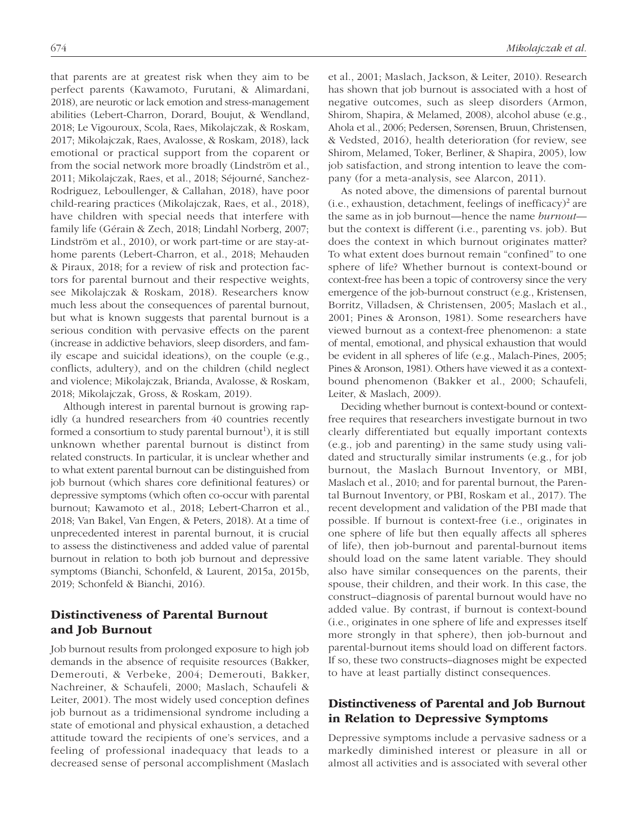that parents are at greatest risk when they aim to be perfect parents (Kawamoto, Furutani, & Alimardani, 2018), are neurotic or lack emotion and stress-management abilities (Lebert-Charron, Dorard, Boujut, & Wendland, 2018; Le Vigouroux, Scola, Raes, Mikolajczak, & Roskam, 2017; Mikolajczak, Raes, Avalosse, & Roskam, 2018), lack emotional or practical support from the coparent or from the social network more broadly (Lindström et al., 2011; Mikolajczak, Raes, et al., 2018; Séjourné, Sanchez-Rodriguez, Leboullenger, & Callahan, 2018), have poor child-rearing practices (Mikolajczak, Raes, et al., 2018), have children with special needs that interfere with family life (Gérain & Zech, 2018; Lindahl Norberg, 2007; Lindström et al., 2010), or work part-time or are stay-athome parents (Lebert-Charron, et al., 2018; Mehauden & Piraux, 2018; for a review of risk and protection factors for parental burnout and their respective weights, see Mikolajczak & Roskam, 2018). Researchers know much less about the consequences of parental burnout, but what is known suggests that parental burnout is a serious condition with pervasive effects on the parent (increase in addictive behaviors, sleep disorders, and family escape and suicidal ideations), on the couple (e.g., conflicts, adultery), and on the children (child neglect and violence; Mikolajczak, Brianda, Avalosse, & Roskam, 2018; Mikolajczak, Gross, & Roskam, 2019).

Although interest in parental burnout is growing rapidly (a hundred researchers from 40 countries recently formed a consortium to study parental burnout<sup>1</sup>), it is still unknown whether parental burnout is distinct from related constructs. In particular, it is unclear whether and to what extent parental burnout can be distinguished from job burnout (which shares core definitional features) or depressive symptoms (which often co-occur with parental burnout; Kawamoto et al., 2018; Lebert-Charron et al., 2018; Van Bakel, Van Engen, & Peters, 2018). At a time of unprecedented interest in parental burnout, it is crucial to assess the distinctiveness and added value of parental burnout in relation to both job burnout and depressive symptoms (Bianchi, Schonfeld, & Laurent, 2015a, 2015b, 2019; Schonfeld & Bianchi, 2016).

# Distinctiveness of Parental Burnout and Job Burnout

Job burnout results from prolonged exposure to high job demands in the absence of requisite resources (Bakker, Demerouti, & Verbeke, 2004; Demerouti, Bakker, Nachreiner, & Schaufeli, 2000; Maslach, Schaufeli & Leiter, 2001). The most widely used conception defines job burnout as a tridimensional syndrome including a state of emotional and physical exhaustion, a detached attitude toward the recipients of one's services, and a feeling of professional inadequacy that leads to a decreased sense of personal accomplishment (Maslach et al., 2001; Maslach, Jackson, & Leiter, 2010). Research has shown that job burnout is associated with a host of negative outcomes, such as sleep disorders (Armon, Shirom, Shapira, & Melamed, 2008), alcohol abuse (e.g., Ahola et al., 2006; Pedersen, Sørensen, Bruun, Christensen, & Vedsted, 2016), health deterioration (for review, see Shirom, Melamed, Toker, Berliner, & Shapira, 2005), low job satisfaction, and strong intention to leave the company (for a meta-analysis, see Alarcon, 2011).

As noted above, the dimensions of parental burnout  $(i.e.,$  exhaustion, detachment, feelings of inefficacy)<sup>2</sup> are the same as in job burnout—hence the name *burnout* but the context is different (i.e., parenting vs. job). But does the context in which burnout originates matter? To what extent does burnout remain "confined" to one sphere of life? Whether burnout is context-bound or context-free has been a topic of controversy since the very emergence of the job-burnout construct (e.g., Kristensen, Borritz, Villadsen, & Christensen, 2005; Maslach et al., 2001; Pines & Aronson, 1981). Some researchers have viewed burnout as a context-free phenomenon: a state of mental, emotional, and physical exhaustion that would be evident in all spheres of life (e.g., Malach-Pines, 2005; Pines & Aronson, 1981). Others have viewed it as a contextbound phenomenon (Bakker et al., 2000; Schaufeli, Leiter, & Maslach, 2009).

Deciding whether burnout is context-bound or contextfree requires that researchers investigate burnout in two clearly differentiated but equally important contexts (e.g., job and parenting) in the same study using validated and structurally similar instruments (e.g., for job burnout, the Maslach Burnout Inventory, or MBI, Maslach et al., 2010; and for parental burnout, the Parental Burnout Inventory, or PBI, Roskam et al., 2017). The recent development and validation of the PBI made that possible. If burnout is context-free (i.e., originates in one sphere of life but then equally affects all spheres of life), then job-burnout and parental-burnout items should load on the same latent variable. They should also have similar consequences on the parents, their spouse, their children, and their work. In this case, the construct–diagnosis of parental burnout would have no added value. By contrast, if burnout is context-bound (i.e., originates in one sphere of life and expresses itself more strongly in that sphere), then job-burnout and parental-burnout items should load on different factors. If so, these two constructs–diagnoses might be expected to have at least partially distinct consequences.

# Distinctiveness of Parental and Job Burnout in Relation to Depressive Symptoms

Depressive symptoms include a pervasive sadness or a markedly diminished interest or pleasure in all or almost all activities and is associated with several other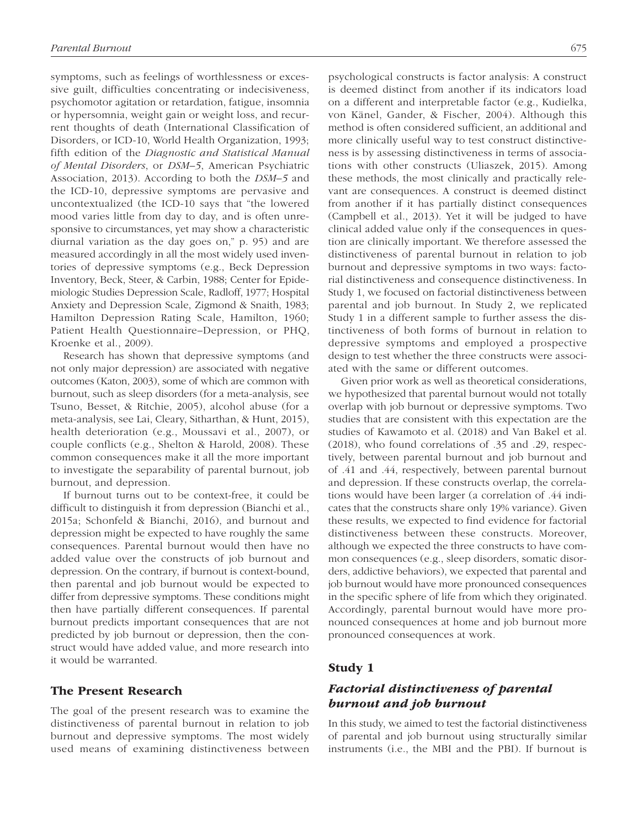symptoms, such as feelings of worthlessness or excessive guilt, difficulties concentrating or indecisiveness, psychomotor agitation or retardation, fatigue, insomnia or hypersomnia, weight gain or weight loss, and recurrent thoughts of death (International Classification of Disorders, or ICD-10, World Health Organization, 1993; fifth edition of the *Diagnostic and Statistical Manual of Mental Disorders*, or *DSM–5*, American Psychiatric Association, 2013). According to both the *DSM–5* and the ICD-10, depressive symptoms are pervasive and uncontextualized (the ICD-10 says that "the lowered mood varies little from day to day, and is often unresponsive to circumstances, yet may show a characteristic diurnal variation as the day goes on," p. 95) and are measured accordingly in all the most widely used inventories of depressive symptoms (e.g., Beck Depression Inventory, Beck, Steer, & Carbin, 1988; Center for Epidemiologic Studies Depression Scale, Radloff, 1977; Hospital Anxiety and Depression Scale, Zigmond & Snaith, 1983; Hamilton Depression Rating Scale, Hamilton, 1960; Patient Health Questionnaire–Depression, or PHQ, Kroenke et al., 2009).

Research has shown that depressive symptoms (and not only major depression) are associated with negative outcomes (Katon, 2003), some of which are common with burnout, such as sleep disorders (for a meta-analysis, see Tsuno, Besset, & Ritchie, 2005), alcohol abuse (for a meta-analysis, see Lai, Cleary, Sitharthan, & Hunt, 2015), health deterioration (e.g., Moussavi et al., 2007), or couple conflicts (e.g., Shelton & Harold, 2008). These common consequences make it all the more important to investigate the separability of parental burnout, job burnout, and depression.

If burnout turns out to be context-free, it could be difficult to distinguish it from depression (Bianchi et al., 2015a; Schonfeld & Bianchi, 2016), and burnout and depression might be expected to have roughly the same consequences. Parental burnout would then have no added value over the constructs of job burnout and depression. On the contrary, if burnout is context-bound, then parental and job burnout would be expected to differ from depressive symptoms. These conditions might then have partially different consequences. If parental burnout predicts important consequences that are not predicted by job burnout or depression, then the construct would have added value, and more research into it would be warranted.

## The Present Research

The goal of the present research was to examine the distinctiveness of parental burnout in relation to job burnout and depressive symptoms. The most widely used means of examining distinctiveness between psychological constructs is factor analysis: A construct is deemed distinct from another if its indicators load on a different and interpretable factor (e.g., Kudielka, von Känel, Gander, & Fischer, 2004). Although this method is often considered sufficient, an additional and more clinically useful way to test construct distinctiveness is by assessing distinctiveness in terms of associations with other constructs (Uliaszek, 2015). Among these methods, the most clinically and practically relevant are consequences. A construct is deemed distinct from another if it has partially distinct consequences (Campbell et al., 2013). Yet it will be judged to have clinical added value only if the consequences in question are clinically important. We therefore assessed the distinctiveness of parental burnout in relation to job burnout and depressive symptoms in two ways: factorial distinctiveness and consequence distinctiveness. In Study 1, we focused on factorial distinctiveness between parental and job burnout. In Study 2, we replicated Study 1 in a different sample to further assess the distinctiveness of both forms of burnout in relation to depressive symptoms and employed a prospective design to test whether the three constructs were associated with the same or different outcomes.

Given prior work as well as theoretical considerations, we hypothesized that parental burnout would not totally overlap with job burnout or depressive symptoms. Two studies that are consistent with this expectation are the studies of Kawamoto et al. (2018) and Van Bakel et al. (2018), who found correlations of .35 and .29, respectively, between parental burnout and job burnout and of .41 and .44, respectively, between parental burnout and depression. If these constructs overlap, the correlations would have been larger (a correlation of .44 indicates that the constructs share only 19% variance). Given these results, we expected to find evidence for factorial distinctiveness between these constructs. Moreover, although we expected the three constructs to have common consequences (e.g., sleep disorders, somatic disorders, addictive behaviors), we expected that parental and job burnout would have more pronounced consequences in the specific sphere of life from which they originated. Accordingly, parental burnout would have more pronounced consequences at home and job burnout more pronounced consequences at work.

## Study 1

## *Factorial distinctiveness of parental burnout and job burnout*

In this study, we aimed to test the factorial distinctiveness of parental and job burnout using structurally similar instruments (i.e., the MBI and the PBI). If burnout is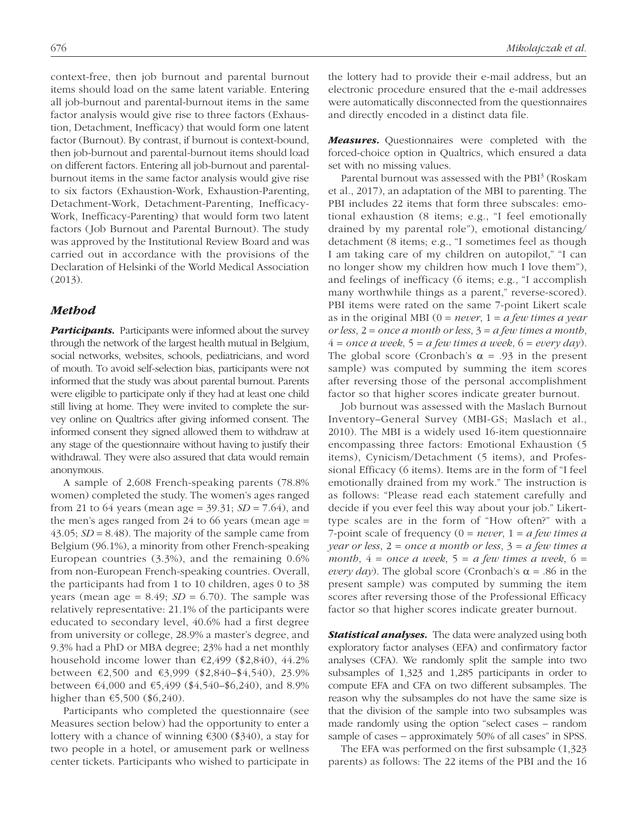context-free, then job burnout and parental burnout items should load on the same latent variable. Entering all job-burnout and parental-burnout items in the same factor analysis would give rise to three factors (Exhaustion, Detachment, Inefficacy) that would form one latent factor (Burnout). By contrast, if burnout is context-bound, then job-burnout and parental-burnout items should load on different factors. Entering all job-burnout and parentalburnout items in the same factor analysis would give rise to six factors (Exhaustion-Work, Exhaustion-Parenting, Detachment-Work, Detachment-Parenting, Inefficacy-Work, Inefficacy-Parenting) that would form two latent factors (Job Burnout and Parental Burnout). The study was approved by the Institutional Review Board and was carried out in accordance with the provisions of the Declaration of Helsinki of the World Medical Association (2013).

#### *Method*

*Participants.* Participants were informed about the survey through the network of the largest health mutual in Belgium, social networks, websites, schools, pediatricians, and word of mouth. To avoid self-selection bias, participants were not informed that the study was about parental burnout. Parents were eligible to participate only if they had at least one child still living at home. They were invited to complete the survey online on Qualtrics after giving informed consent. The informed consent they signed allowed them to withdraw at any stage of the questionnaire without having to justify their withdrawal. They were also assured that data would remain anonymous.

A sample of 2,608 French-speaking parents (78.8% women) completed the study. The women's ages ranged from 21 to 64 years (mean age = 39.31; *SD* = 7.64), and the men's ages ranged from 24 to 66 years (mean age  $=$ 43.05; *SD* = 8.48). The majority of the sample came from Belgium (96.1%), a minority from other French-speaking European countries (3.3%), and the remaining 0.6% from non-European French-speaking countries. Overall, the participants had from 1 to 10 children, ages 0 to 38 years (mean age =  $8.49$ ; *SD* =  $6.70$ ). The sample was relatively representative: 21.1% of the participants were educated to secondary level, 40.6% had a first degree from university or college, 28.9% a master's degree, and 9.3% had a PhD or MBA degree; 23% had a net monthly household income lower than  $\epsilon$ 2,499 (\$2,840), 44.2% between €2,500 and €3,999 (\$2,840–\$4,540), 23.9% between  $\text{\textsterling}4,000$  and  $\text{\textsterling}5,499$  (\$4,540–\$6,240), and 8.9% higher than  $€5,500 ($6,240)$ .

Participants who completed the questionnaire (see Measures section below) had the opportunity to enter a lottery with a chance of winning €300 (\$340), a stay for two people in a hotel, or amusement park or wellness center tickets. Participants who wished to participate in the lottery had to provide their e-mail address, but an electronic procedure ensured that the e-mail addresses were automatically disconnected from the questionnaires and directly encoded in a distinct data file.

*Measures.* Questionnaires were completed with the forced-choice option in Qualtrics, which ensured a data set with no missing values.

Parental burnout was assessed with the PBI<sup>3</sup> (Roskam et al., 2017), an adaptation of the MBI to parenting. The PBI includes 22 items that form three subscales: emotional exhaustion (8 items; e.g., "I feel emotionally drained by my parental role"), emotional distancing/ detachment (8 items; e.g., "I sometimes feel as though I am taking care of my children on autopilot," "I can no longer show my children how much I love them"), and feelings of inefficacy (6 items; e.g., "I accomplish many worthwhile things as a parent," reverse-scored). PBI items were rated on the same 7-point Likert scale as in the original MBI (0 = *never*, 1 = *a few times a year or less*, 2 = *once a month or less*, 3 = *a few times a month*,  $4 =$  *once a week*,  $5 = a$  *few times a week*,  $6 =$  *every day*). The global score (Cronbach's  $\alpha = .93$  in the present sample) was computed by summing the item scores after reversing those of the personal accomplishment factor so that higher scores indicate greater burnout.

Job burnout was assessed with the Maslach Burnout Inventory–General Survey (MBI-GS; Maslach et al., 2010). The MBI is a widely used 16-item questionnaire encompassing three factors: Emotional Exhaustion (5 items), Cynicism/Detachment (5 items), and Professional Efficacy (6 items). Items are in the form of "I feel emotionally drained from my work." The instruction is as follows: "Please read each statement carefully and decide if you ever feel this way about your job." Likerttype scales are in the form of "How often?" with a 7-point scale of frequency (0 = *never*, 1 = *a few times a year or less*, 2 = *once a month or less*, 3 = *a few times a month*,  $4 = once \space a \space week, \space 5 = a \space few \space times \space a \space week, \space 6 =$ *every day*). The global score (Cronbach's  $\alpha$  = .86 in the present sample) was computed by summing the item scores after reversing those of the Professional Efficacy factor so that higher scores indicate greater burnout.

*Statistical analyses.* The data were analyzed using both exploratory factor analyses (EFA) and confirmatory factor analyses (CFA). We randomly split the sample into two subsamples of 1,323 and 1,285 participants in order to compute EFA and CFA on two different subsamples. The reason why the subsamples do not have the same size is that the division of the sample into two subsamples was made randomly using the option "select cases – random sample of cases – approximately 50% of all cases" in SPSS.

The EFA was performed on the first subsample (1,323 parents) as follows: The 22 items of the PBI and the 16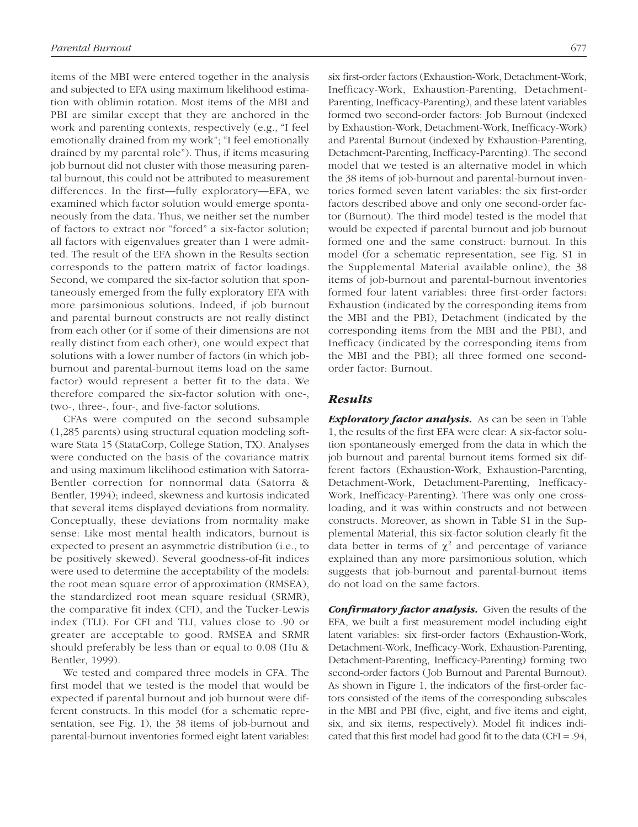items of the MBI were entered together in the analysis and subjected to EFA using maximum likelihood estimation with oblimin rotation. Most items of the MBI and PBI are similar except that they are anchored in the work and parenting contexts, respectively (e.g., "I feel emotionally drained from my work"; "I feel emotionally drained by my parental role"). Thus, if items measuring job burnout did not cluster with those measuring parental burnout, this could not be attributed to measurement differences. In the first—fully exploratory—EFA, we examined which factor solution would emerge spontaneously from the data. Thus, we neither set the number of factors to extract nor "forced" a six-factor solution; all factors with eigenvalues greater than 1 were admitted. The result of the EFA shown in the Results section corresponds to the pattern matrix of factor loadings. Second, we compared the six-factor solution that spontaneously emerged from the fully exploratory EFA with more parsimonious solutions. Indeed, if job burnout and parental burnout constructs are not really distinct from each other (or if some of their dimensions are not really distinct from each other), one would expect that solutions with a lower number of factors (in which jobburnout and parental-burnout items load on the same factor) would represent a better fit to the data. We therefore compared the six-factor solution with one-, two-, three-, four-, and five-factor solutions.

CFAs were computed on the second subsample (1,285 parents) using structural equation modeling software Stata 15 (StataCorp, College Station, TX). Analyses were conducted on the basis of the covariance matrix and using maximum likelihood estimation with Satorra-Bentler correction for nonnormal data (Satorra & Bentler, 1994); indeed, skewness and kurtosis indicated that several items displayed deviations from normality. Conceptually, these deviations from normality make sense: Like most mental health indicators, burnout is expected to present an asymmetric distribution (i.e., to be positively skewed). Several goodness-of-fit indices were used to determine the acceptability of the models: the root mean square error of approximation (RMSEA), the standardized root mean square residual (SRMR), the comparative fit index (CFI), and the Tucker-Lewis index (TLI). For CFI and TLI, values close to .90 or greater are acceptable to good. RMSEA and SRMR should preferably be less than or equal to 0.08 (Hu & Bentler, 1999).

We tested and compared three models in CFA. The first model that we tested is the model that would be expected if parental burnout and job burnout were different constructs. In this model (for a schematic representation, see Fig. 1), the 38 items of job-burnout and parental-burnout inventories formed eight latent variables:

six first-order factors (Exhaustion-Work, Detachment-Work, Inefficacy-Work, Exhaustion-Parenting, Detachment-Parenting, Inefficacy-Parenting), and these latent variables formed two second-order factors: Job Burnout (indexed by Exhaustion-Work, Detachment-Work, Inefficacy-Work) and Parental Burnout (indexed by Exhaustion-Parenting, Detachment-Parenting, Inefficacy-Parenting). The second model that we tested is an alternative model in which the 38 items of job-burnout and parental-burnout inventories formed seven latent variables: the six first-order factors described above and only one second-order factor (Burnout). The third model tested is the model that would be expected if parental burnout and job burnout formed one and the same construct: burnout. In this model (for a schematic representation, see Fig. S1 in the Supplemental Material available online), the 38 items of job-burnout and parental-burnout inventories formed four latent variables: three first-order factors: Exhaustion (indicated by the corresponding items from the MBI and the PBI), Detachment (indicated by the corresponding items from the MBI and the PBI), and Inefficacy (indicated by the corresponding items from the MBI and the PBI); all three formed one secondorder factor: Burnout.

#### *Results*

*Exploratory factor analysis.* As can be seen in Table 1, the results of the first EFA were clear: A six-factor solution spontaneously emerged from the data in which the job burnout and parental burnout items formed six different factors (Exhaustion-Work, Exhaustion-Parenting, Detachment-Work, Detachment-Parenting, Inefficacy-Work, Inefficacy-Parenting). There was only one crossloading, and it was within constructs and not between constructs. Moreover, as shown in Table S1 in the Supplemental Material, this six-factor solution clearly fit the data better in terms of  $\chi^2$  and percentage of variance explained than any more parsimonious solution, which suggests that job-burnout and parental-burnout items do not load on the same factors.

*Confirmatory factor analysis.* Given the results of the EFA, we built a first measurement model including eight latent variables: six first-order factors (Exhaustion-Work, Detachment-Work, Inefficacy-Work, Exhaustion-Parenting, Detachment-Parenting, Inefficacy-Parenting) forming two second-order factors (Job Burnout and Parental Burnout). As shown in Figure 1, the indicators of the first-order factors consisted of the items of the corresponding subscales in the MBI and PBI (five, eight, and five items and eight, six, and six items, respectively). Model fit indices indicated that this first model had good fit to the data (CFI = .94,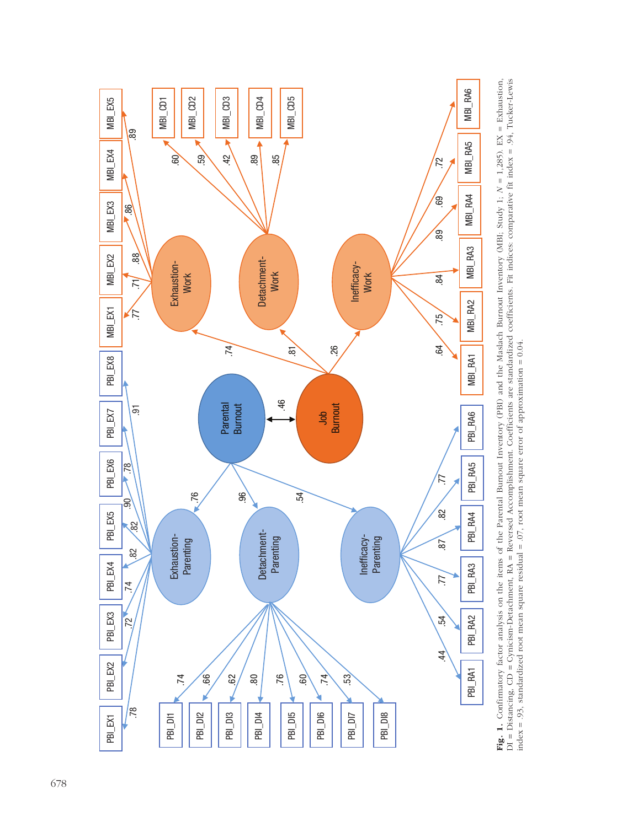

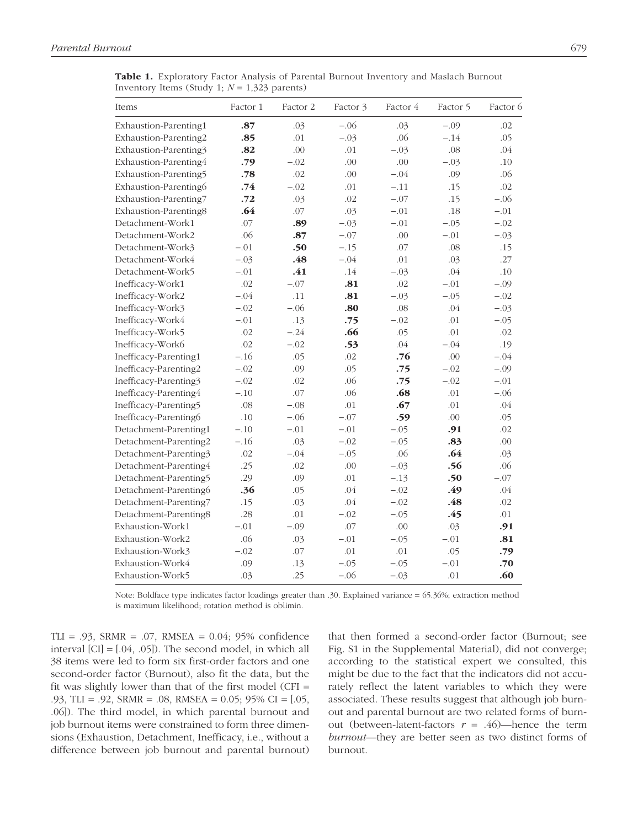Table 1. Exploratory Factor Analysis of Parental Burnout Inventory and Maslach Burnout Inventory Items (Study 1; *N* = 1,323 parents)

| Items                 | Factor 1 | Factor 2 | Factor 3 | Factor 4 | Factor 5 | Factor 6 |
|-----------------------|----------|----------|----------|----------|----------|----------|
| Exhaustion-Parenting1 | .87      | .03      | $-.06$   | .03      | $-.09$   | .02      |
| Exhaustion-Parenting2 | .85      | .01      | $-.03$   | .06      | $-.14$   | .05      |
| Exhaustion-Parenting3 | .82      | .00      | .01      | $-.03$   | .08      | .04      |
| Exhaustion-Parenting4 | .79      | $-.02$   | .00      | .00      | $-.03$   | .10      |
| Exhaustion-Parenting5 | .78      | .02      | .00      | $-.04$   | .09      | .06      |
| Exhaustion-Parenting6 | .74      | $-.02$   | .01      | $-.11$   | .15      | .02      |
| Exhaustion-Parenting7 | .72      | .03      | .02      | $-.07$   | .15      | $-.06$   |
| Exhaustion-Parenting8 | .64      | .07      | .03      | $-.01$   | .18      | $-.01$   |
| Detachment-Work1      | .07      | .89      | $-.03$   | $-.01$   | $-.05$   | $-.02$   |
| Detachment-Work2      | .06      | .87      | $-.07$   | .00      | $-.01$   | $-.03$   |
| Detachment-Work3      | $-.01$   | .50      | $-.15$   | .07      | .08      | .15      |
| Detachment-Work4      | $-.03$   | .48      | $-.04$   | .01      | .03      | .27      |
| Detachment-Work5      | $-.01$   | .41      | .14      | $-.03$   | .04      | .10      |
| Inefficacy-Work1      | .02      | $-.07$   | .81      | .02      | $-.01$   | $-.09$   |
| Inefficacy-Work2      | $-.04$   | .11      | .81      | $-.03$   | $-.05$   | $-.02$   |
| Inefficacy-Work3      | $-.02$   | $-.06$   | .80      | .08      | .04      | $-.03$   |
| Inefficacy-Work4      | $-.01$   | .13      | .75      | $-.02$   | .01      | $-.05$   |
| Inefficacy-Work5      | .02      | $-.24$   | .66      | .05      | .01      | .02      |
| Inefficacy-Work6      | .02      | $-.02$   | .53      | .04      | $-.04$   | .19      |
| Inefficacy-Parenting1 | $-.16$   | .05      | .02      | .76      | .00      | $-.04$   |
| Inefficacy-Parenting2 | $-.02$   | .09      | .05      | .75      | $-.02$   | $-.09$   |
| Inefficacy-Parenting3 | $-.02$   | .02      | .06      | .75      | $-.02$   | $-.01$   |
| Inefficacy-Parenting4 | $-.10$   | .07      | .06      | .68      | .01      | $-.06$   |
| Inefficacy-Parenting5 | .08      | $-.08$   | .01      | .67      | .01      | .04      |
| Inefficacy-Parenting6 | .10      | $-.06$   | $-.07$   | .59      | .00      | .05      |
| Detachment-Parenting1 | $-.10$   | $-.01$   | $-.01$   | $-.05$   | .91      | .02      |
| Detachment-Parenting2 | $-.16$   | .03      | $-.02$   | $-.05$   | .83      | .00      |
| Detachment-Parenting3 | .02      | $-.04$   | $-.05$   | .06      | .64      | .03      |
| Detachment-Parenting4 | .25      | .02      | .00      | $-.03$   | .56      | .06      |
| Detachment-Parenting5 | .29      | .09      | .01      | $-.13$   | .50      | $-.07$   |
| Detachment-Parenting6 | .36      | .05      | .04      | $-.02$   | .49      | .04      |
| Detachment-Parenting7 | .15      | .03      | .04      | $-.02$   | .48      | .02      |
| Detachment-Parenting8 | .28      | .01      | $-.02$   | $-.05$   | .45      | .01      |
| Exhaustion-Work1      | $-.01$   | $-.09$   | .07      | .00      | .03      | .91      |
| Exhaustion-Work2      | .06      | .03      | $-.01$   | $-.05$   | $-.01$   | .81      |
| Exhaustion-Work3      | $-.02$   | .07      | .01      | .01      | .05      | .79      |
| Exhaustion-Work4      | .09      | .13      | $-.05$   | $-.05$   | $-.01$   | .70      |
| Exhaustion-Work5      | .03      | .25      | $-.06$   | $-.03$   | .01      | .60      |

Note: Boldface type indicates factor loadings greater than .30. Explained variance = 65.36%; extraction method is maximum likelihood; rotation method is oblimin.

TLI = .93, SRMR = .07, RMSEA = 0.04; 95% confidence interval  $[CI] = [.04, .05]$ . The second model, in which all 38 items were led to form six first-order factors and one second-order factor (Burnout), also fit the data, but the fit was slightly lower than that of the first model (CFI  $=$ .93, TLI = .92, SRMR = .08, RMSEA = 0.05; 95% CI = [.05, .06]). The third model, in which parental burnout and job burnout items were constrained to form three dimensions (Exhaustion, Detachment, Inefficacy, i.e., without a difference between job burnout and parental burnout) that then formed a second-order factor (Burnout; see Fig. S1 in the Supplemental Material), did not converge; according to the statistical expert we consulted, this might be due to the fact that the indicators did not accurately reflect the latent variables to which they were associated. These results suggest that although job burnout and parental burnout are two related forms of burnout (between-latent-factors  $r = .46$ )—hence the term *burnout*—they are better seen as two distinct forms of burnout.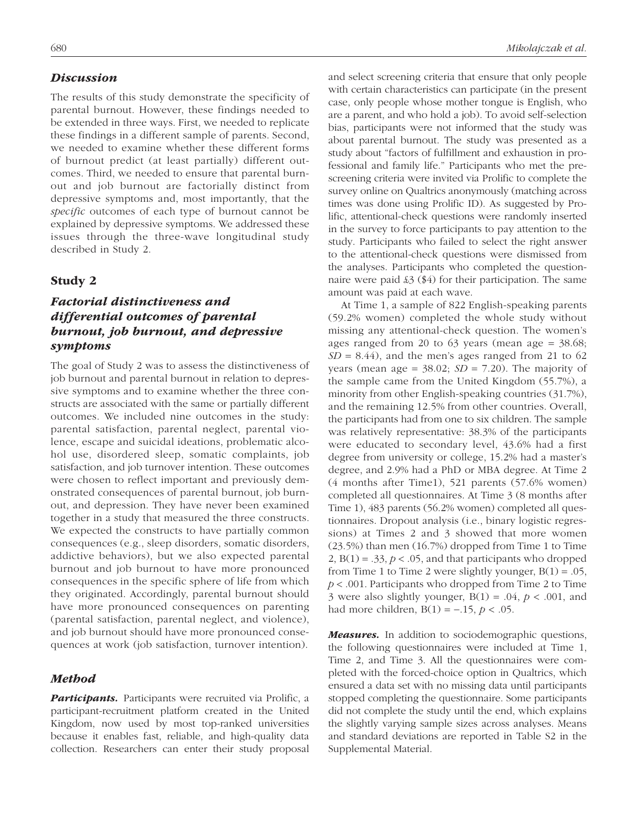## *Discussion*

The results of this study demonstrate the specificity of parental burnout. However, these findings needed to be extended in three ways. First, we needed to replicate these findings in a different sample of parents. Second, we needed to examine whether these different forms of burnout predict (at least partially) different outcomes. Third, we needed to ensure that parental burnout and job burnout are factorially distinct from depressive symptoms and, most importantly, that the *specific* outcomes of each type of burnout cannot be explained by depressive symptoms. We addressed these issues through the three-wave longitudinal study described in Study 2.

## Study 2

# *Factorial distinctiveness and differential outcomes of parental burnout, job burnout, and depressive symptoms*

The goal of Study 2 was to assess the distinctiveness of job burnout and parental burnout in relation to depressive symptoms and to examine whether the three constructs are associated with the same or partially different outcomes. We included nine outcomes in the study: parental satisfaction, parental neglect, parental violence, escape and suicidal ideations, problematic alcohol use, disordered sleep, somatic complaints, job satisfaction, and job turnover intention. These outcomes were chosen to reflect important and previously demonstrated consequences of parental burnout, job burnout, and depression. They have never been examined together in a study that measured the three constructs. We expected the constructs to have partially common consequences (e.g., sleep disorders, somatic disorders, addictive behaviors), but we also expected parental burnout and job burnout to have more pronounced consequences in the specific sphere of life from which they originated. Accordingly, parental burnout should have more pronounced consequences on parenting (parental satisfaction, parental neglect, and violence), and job burnout should have more pronounced consequences at work (job satisfaction, turnover intention).

## *Method*

**Participants.** Participants were recruited via Prolific, a participant-recruitment platform created in the United Kingdom, now used by most top-ranked universities because it enables fast, reliable, and high-quality data collection. Researchers can enter their study proposal and select screening criteria that ensure that only people with certain characteristics can participate (in the present case, only people whose mother tongue is English, who are a parent, and who hold a job). To avoid self-selection bias, participants were not informed that the study was about parental burnout. The study was presented as a study about "factors of fulfillment and exhaustion in professional and family life." Participants who met the prescreening criteria were invited via Prolific to complete the survey online on Qualtrics anonymously (matching across times was done using Prolific ID). As suggested by Prolific, attentional-check questions were randomly inserted in the survey to force participants to pay attention to the study. Participants who failed to select the right answer to the attentional-check questions were dismissed from the analyses. Participants who completed the questionnaire were paid  $\mathcal{L}3$  (\$4) for their participation. The same amount was paid at each wave.

At Time 1, a sample of 822 English-speaking parents (59.2% women) completed the whole study without missing any attentional-check question. The women's ages ranged from 20 to  $63$  years (mean age =  $38.68$ ;  $SD = 8.44$ ), and the men's ages ranged from 21 to 62 years (mean age =  $38.02$ ; *SD* = 7.20). The majority of the sample came from the United Kingdom (55.7%), a minority from other English-speaking countries (31.7%), and the remaining 12.5% from other countries. Overall, the participants had from one to six children. The sample was relatively representative: 38.3% of the participants were educated to secondary level, 43.6% had a first degree from university or college, 15.2% had a master's degree, and 2.9% had a PhD or MBA degree. At Time 2 (4 months after Time1), 521 parents (57.6% women) completed all questionnaires. At Time 3 (8 months after Time 1), 483 parents (56.2% women) completed all questionnaires. Dropout analysis (i.e., binary logistic regressions) at Times 2 and 3 showed that more women (23.5%) than men (16.7%) dropped from Time 1 to Time 2,  $B(1) = .33$ ,  $p < .05$ , and that participants who dropped from Time 1 to Time 2 were slightly younger,  $B(1) = .05$ , *p* < .001. Participants who dropped from Time 2 to Time 3 were also slightly younger,  $B(1) = .04$ ,  $p < .001$ , and had more children, B(1) = −.15, *p* < .05.

*Measures.* In addition to sociodemographic questions, the following questionnaires were included at Time 1, Time 2, and Time 3. All the questionnaires were completed with the forced-choice option in Qualtrics, which ensured a data set with no missing data until participants stopped completing the questionnaire. Some participants did not complete the study until the end, which explains the slightly varying sample sizes across analyses. Means and standard deviations are reported in Table S2 in the Supplemental Material.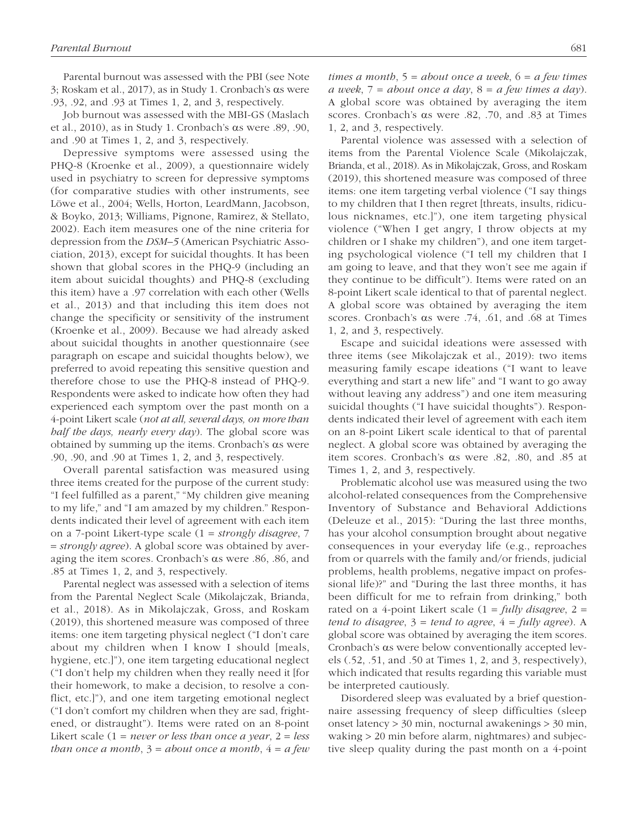Parental burnout was assessed with the PBI (see Note 3; Roskam et al., 2017), as in Study 1. Cronbach's αs were .93, .92, and .93 at Times 1, 2, and 3, respectively.

Job burnout was assessed with the MBI-GS (Maslach et al., 2010), as in Study 1. Cronbach's αs were .89, .90, and .90 at Times 1, 2, and 3, respectively.

Depressive symptoms were assessed using the PHQ-8 (Kroenke et al., 2009), a questionnaire widely used in psychiatry to screen for depressive symptoms (for comparative studies with other instruments, see Löwe et al., 2004; Wells, Horton, LeardMann, Jacobson, & Boyko, 2013; Williams, Pignone, Ramirez, & Stellato, 2002). Each item measures one of the nine criteria for depression from the *DSM–5* (American Psychiatric Association, 2013), except for suicidal thoughts. It has been shown that global scores in the PHQ-9 (including an item about suicidal thoughts) and PHQ-8 (excluding this item) have a .97 correlation with each other (Wells et al., 2013) and that including this item does not change the specificity or sensitivity of the instrument (Kroenke et al., 2009). Because we had already asked about suicidal thoughts in another questionnaire (see paragraph on escape and suicidal thoughts below), we preferred to avoid repeating this sensitive question and therefore chose to use the PHQ-8 instead of PHQ-9. Respondents were asked to indicate how often they had experienced each symptom over the past month on a 4-point Likert scale (*not at all, several days, on more than half the days, nearly every day*). The global score was obtained by summing up the items. Cronbach's αs were .90, .90, and .90 at Times 1, 2, and 3, respectively.

Overall parental satisfaction was measured using three items created for the purpose of the current study: "I feel fulfilled as a parent," "My children give meaning to my life," and "I am amazed by my children." Respondents indicated their level of agreement with each item on a 7-point Likert-type scale (1 = *strongly disagree*, 7 = *strongly agree*). A global score was obtained by averaging the item scores. Cronbach's αs were .86, .86, and .85 at Times 1, 2, and 3, respectively.

Parental neglect was assessed with a selection of items from the Parental Neglect Scale (Mikolajczak, Brianda, et al., 2018). As in Mikolajczak, Gross, and Roskam (2019), this shortened measure was composed of three items: one item targeting physical neglect ("I don't care about my children when I know I should [meals, hygiene, etc.]"), one item targeting educational neglect ("I don't help my children when they really need it [for their homework, to make a decision, to resolve a conflict, etc.]"), and one item targeting emotional neglect ("I don't comfort my children when they are sad, frightened, or distraught"). Items were rated on an 8-point Likert scale (1 = *never or less than once a year*, 2 = *less than once a month*, 3 = *about once a month*, 4 = *a few*  *times a month*, 5 = *about once a week*, 6 = *a few times a week*, 7 = *about once a day*, 8 = *a few times a day*). A global score was obtained by averaging the item scores. Cronbach's αs were .82, .70, and .83 at Times 1, 2, and 3, respectively.

Parental violence was assessed with a selection of items from the Parental Violence Scale (Mikolajczak, Brianda, et al., 2018). As in Mikolajczak, Gross, and Roskam (2019), this shortened measure was composed of three items: one item targeting verbal violence ("I say things to my children that I then regret [threats, insults, ridiculous nicknames, etc.]"), one item targeting physical violence ("When I get angry, I throw objects at my children or I shake my children"), and one item targeting psychological violence ("I tell my children that I am going to leave, and that they won't see me again if they continue to be difficult"). Items were rated on an 8-point Likert scale identical to that of parental neglect. A global score was obtained by averaging the item scores. Cronbach's αs were .74, .61, and .68 at Times 1, 2, and 3, respectively.

Escape and suicidal ideations were assessed with three items (see Mikolajczak et al., 2019): two items measuring family escape ideations ("I want to leave everything and start a new life" and "I want to go away without leaving any address") and one item measuring suicidal thoughts ("I have suicidal thoughts"). Respondents indicated their level of agreement with each item on an 8-point Likert scale identical to that of parental neglect. A global score was obtained by averaging the item scores. Cronbach's αs were .82, .80, and .85 at Times 1, 2, and 3, respectively.

Problematic alcohol use was measured using the two alcohol-related consequences from the Comprehensive Inventory of Substance and Behavioral Addictions (Deleuze et al., 2015): "During the last three months, has your alcohol consumption brought about negative consequences in your everyday life (e.g., reproaches from or quarrels with the family and/or friends, judicial problems, health problems, negative impact on professional life)?" and "During the last three months, it has been difficult for me to refrain from drinking," both rated on a 4-point Likert scale (1 = *fully disagree*, 2 = *tend to disagree*, 3 = *tend to agree*, 4 = *fully agree*). A global score was obtained by averaging the item scores. Cronbach's αs were below conventionally accepted levels (.52, .51, and .50 at Times 1, 2, and 3, respectively), which indicated that results regarding this variable must be interpreted cautiously.

Disordered sleep was evaluated by a brief questionnaire assessing frequency of sleep difficulties (sleep onset latency > 30 min, nocturnal awakenings > 30 min, waking > 20 min before alarm, nightmares) and subjective sleep quality during the past month on a 4-point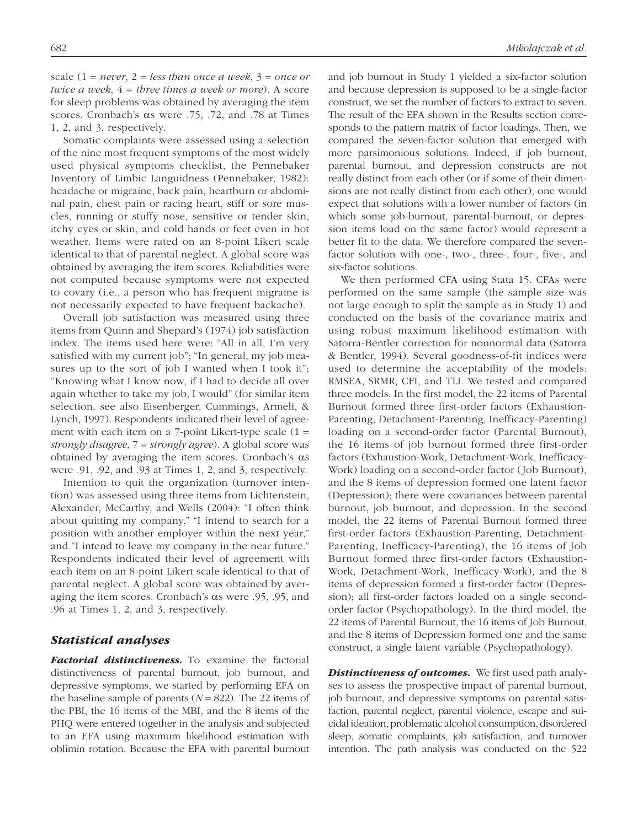scale  $(1 = never, 2 = less than once a week, 3 = once or)$ *twice a week*, 4 = *three times a week or more*). A score for sleep problems was obtained by averaging the item scores. Cronbach's αs were .75, .72, and .78 at Times 1, 2, and 3, respectively.

Somatic complaints were assessed using a selection of the nine most frequent symptoms of the most widely used physical symptoms checklist, the Pennebaker Inventory of Limbic Languidness (Pennebaker, 1982): headache or migraine, back pain, heartburn or abdominal pain, chest pain or racing heart, stiff or sore muscles, running or stuffy nose, sensitive or tender skin, itchy eyes or skin, and cold hands or feet even in hot weather. Items were rated on an 8-point Likert scale identical to that of parental neglect. A global score was obtained by averaging the item scores. Reliabilities were not computed because symptoms were not expected to covary (i.e., a person who has frequent migraine is not necessarily expected to have frequent backache).

Overall job satisfaction was measured using three items from Quinn and Shepard's (1974) job satisfaction index. The items used here were: "All in all, I'm very satisfied with my current job"; "In general, my job measures up to the sort of job I wanted when I took it"; "Knowing what I know now, if I had to decide all over again whether to take my job, I would" (for similar item selection, see also Eisenberger, Cummings, Armeli, & Lynch, 1997). Respondents indicated their level of agreement with each item on a 7-point Likert-type scale  $(1 =$ *strongly disagree*, 7 = *strongly agree*). A global score was obtained by averaging the item scores. Cronbach's αs were .91, .92, and .93 at Times 1, 2, and 3, respectively.

Intention to quit the organization (turnover intention) was assessed using three items from Lichtenstein, Alexander, McCarthy, and Wells (2004): "I often think about quitting my company," "I intend to search for a position with another employer within the next year," and "I intend to leave my company in the near future." Respondents indicated their level of agreement with each item on an 8-point Likert scale identical to that of parental neglect. A global score was obtained by averaging the item scores. Cronbach's αs were .95, .95, and .96 at Times 1, 2, and 3, respectively.

#### *Statistical analyses*

*Factorial distinctiveness.* To examine the factorial distinctiveness of parental burnout, job burnout, and depressive symptoms, we started by performing EFA on the baseline sample of parents  $(N = 822)$ . The 22 items of the PBI, the 16 items of the MBI, and the 8 items of the PHQ were entered together in the analysis and subjected to an EFA using maximum likelihood estimation with oblimin rotation. Because the EFA with parental burnout and job burnout in Study 1 yielded a six-factor solution and because depression is supposed to be a single-factor construct, we set the number of factors to extract to seven. The result of the EFA shown in the Results section corresponds to the pattern matrix of factor loadings. Then, we compared the seven-factor solution that emerged with more parsimonious solutions. Indeed, if job burnout, parental burnout, and depression constructs are not really distinct from each other (or if some of their dimensions are not really distinct from each other), one would expect that solutions with a lower number of factors (in which some job-burnout, parental-burnout, or depression items load on the same factor) would represent a better fit to the data. We therefore compared the sevenfactor solution with one-, two-, three-, four-, five-, and six-factor solutions.

We then performed CFA using Stata 15. CFAs were performed on the same sample (the sample size was not large enough to split the sample as in Study 1) and conducted on the basis of the covariance matrix and using robust maximum likelihood estimation with Satorra-Bentler correction for nonnormal data (Satorra & Bentler, 1994). Several goodness-of-fit indices were used to determine the acceptability of the models: RMSEA, SRMR, CFI, and TLI. We tested and compared three models. In the first model, the 22 items of Parental Burnout formed three first-order factors (Exhaustion-Parenting, Detachment-Parenting, Inefficacy-Parenting) loading on a second-order factor (Parental Burnout), the 16 items of job burnout formed three first-order factors (Exhaustion-Work, Detachment-Work, Inefficacy-Work) loading on a second-order factor (Job Burnout), and the 8 items of depression formed one latent factor (Depression); there were covariances between parental burnout, job burnout, and depression. In the second model, the 22 items of Parental Burnout formed three first-order factors (Exhaustion-Parenting, Detachment-Parenting, Inefficacy-Parenting), the 16 items of Job Burnout formed three first-order factors (Exhaustion-Work, Detachment-Work, Inefficacy-Work), and the 8 items of depression formed a first-order factor (Depression); all first-order factors loaded on a single secondorder factor (Psychopathology). In the third model, the 22 items of Parental Burnout, the 16 items of Job Burnout, and the 8 items of Depression formed one and the same construct, a single latent variable (Psychopathology).

*Distinctiveness of outcomes.* We first used path analyses to assess the prospective impact of parental burnout, job burnout, and depressive symptoms on parental satisfaction, parental neglect, parental violence, escape and suicidal ideation, problematic alcohol consumption, disordered sleep, somatic complaints, job satisfaction, and turnover intention. The path analysis was conducted on the 522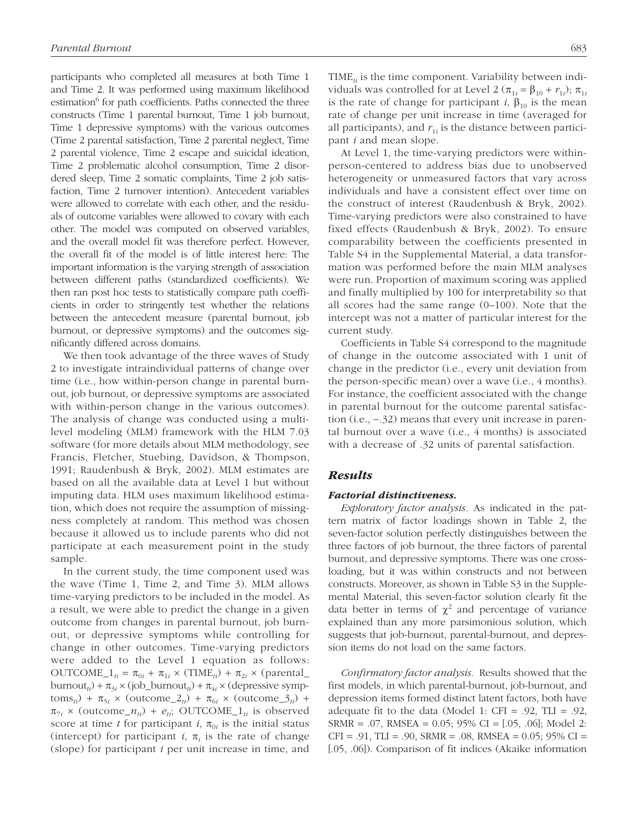participants who completed all measures at both Time 1 and Time 2. It was performed using maximum likelihood estimation<sup>6</sup> for path coefficients. Paths connected the three constructs (Time 1 parental burnout, Time 1 job burnout, Time 1 depressive symptoms) with the various outcomes (Time 2 parental satisfaction, Time 2 parental neglect, Time 2 parental violence, Time 2 escape and suicidal ideation, Time 2 problematic alcohol consumption, Time 2 disordered sleep, Time 2 somatic complaints, Time 2 job satisfaction, Time 2 turnover intention). Antecedent variables were allowed to correlate with each other, and the residuals of outcome variables were allowed to covary with each other. The model was computed on observed variables, and the overall model fit was therefore perfect. However, the overall fit of the model is of little interest here: The important information is the varying strength of association between different paths (standardized coefficients). We then ran post hoc tests to statistically compare path coefficients in order to stringently test whether the relations between the antecedent measure (parental burnout, job burnout, or depressive symptoms) and the outcomes significantly differed across domains.

We then took advantage of the three waves of Study 2 to investigate intraindividual patterns of change over time (i.e., how within-person change in parental burnout, job burnout, or depressive symptoms are associated with within-person change in the various outcomes). The analysis of change was conducted using a multilevel modeling (MLM) framework with the HLM 7.03 software (for more details about MLM methodology, see Francis, Fletcher, Stuebing, Davidson, & Thompson, 1991; Raudenbush & Bryk, 2002). MLM estimates are based on all the available data at Level 1 but without imputing data. HLM uses maximum likelihood estimation, which does not require the assumption of missingness completely at random. This method was chosen because it allowed us to include parents who did not participate at each measurement point in the study sample.

In the current study, the time component used was the wave (Time 1, Time 2, and Time 3). MLM allows time-varying predictors to be included in the model. As a result, we were able to predict the change in a given outcome from changes in parental burnout, job burnout, or depressive symptoms while controlling for change in other outcomes. Time-varying predictors were added to the Level 1 equation as follows:  $\text{OUTCOME}_{1} = \pi_{0i} + \pi_{1i} \times (\text{TIME}_{ti}) + \pi_{2i} \times (\text{parental}_{1})$ burnout<sub>*ti*</sub>) +  $\pi_{3i}$  × (job\_burnout<sub>*ti*</sub>) +  $\pi_{4i}$  × (depressive symp- $\tau_{\text{tot}}$ ) +  $\pi_{5i}$  × (outcome<sub>*\_2<sub>ti</sub>*)</sub> +  $\pi_{6i}$  × (outcome*\_3<sub>ti</sub>*) +  $\pi_{7i}$  × (outcome<sub>*n<sub>ti</sub>*) +  $e_{ti}$ ; OUTCOME<sub>*l<sub>ti</sub>* is observed</sub></sub> score at time *t* for participant *i*,  $\pi_{0i}$  is the initial status (intercept) for participant  $i$ ,  $\pi$ <sub>i</sub> is the rate of change (slope) for participant *i* per unit increase in time, and

TIME*ti* is the time component. Variability between individuals was controlled for at Level 2 ( $\pi_{1i} = \beta_{10} + r_{1i}$ );  $\pi_{1i}$ is the rate of change for participant *i*,  $\beta_{10}$  is the mean rate of change per unit increase in time (averaged for all participants), and  $r_{1i}$  is the distance between participant *i* and mean slope.

At Level 1, the time-varying predictors were withinperson-centered to address bias due to unobserved heterogeneity or unmeasured factors that vary across individuals and have a consistent effect over time on the construct of interest (Raudenbush & Bryk, 2002). Time-varying predictors were also constrained to have fixed effects (Raudenbush & Bryk, 2002). To ensure comparability between the coefficients presented in Table S4 in the Supplemental Material, a data transformation was performed before the main MLM analyses were run. Proportion of maximum scoring was applied and finally multiplied by 100 for interpretability so that all scores had the same range (0–100). Note that the intercept was not a matter of particular interest for the current study.

Coefficients in Table S4 correspond to the magnitude of change in the outcome associated with 1 unit of change in the predictor (i.e., every unit deviation from the person-specific mean) over a wave (i.e., 4 months). For instance, the coefficient associated with the change in parental burnout for the outcome parental satisfaction (i.e., −.32) means that every unit increase in parental burnout over a wave (i.e., 4 months) is associated with a decrease of .32 units of parental satisfaction.

## *Results*

#### *Factorial distinctiveness.*

*Exploratory factor analysis.* As indicated in the pattern matrix of factor loadings shown in Table 2, the seven-factor solution perfectly distinguishes between the three factors of job burnout, the three factors of parental burnout, and depressive symptoms. There was one crossloading, but it was within constructs and not between constructs. Moreover, as shown in Table S3 in the Supplemental Material, this seven-factor solution clearly fit the data better in terms of  $\chi^2$  and percentage of variance explained than any more parsimonious solution, which suggests that job-burnout, parental-burnout, and depression items do not load on the same factors.

*Confirmatory factor analysis.* Results showed that the first models, in which parental-burnout, job-burnout, and depression items formed distinct latent factors, both have adequate fit to the data (Model 1: CFI = .92, TLI = .92, SRMR = .07, RMSEA = 0.05; 95% CI = [.05, .06]; Model 2:  $CFI = .91$ ,  $TLI = .90$ ,  $SRMR = .08$ ,  $RMSEA = 0.05$ ;  $95\% CI =$ [.05, .06]). Comparison of fit indices (Akaike information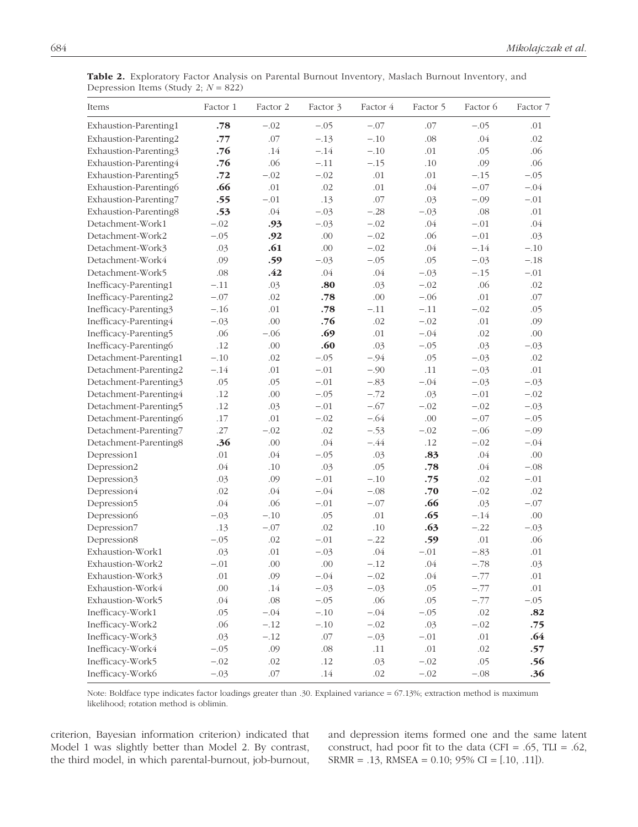| Items                 | Factor 1 | Factor 2 | Factor 3 | Factor 4 | Factor 5 | Factor 6 | Factor 7 |
|-----------------------|----------|----------|----------|----------|----------|----------|----------|
| Exhaustion-Parenting1 | .78      | $-.02$   | $-.05$   | $-.07$   | .07      | $-.05$   | .01      |
| Exhaustion-Parenting2 | .77      | .07      | $-.13$   | $-.10$   | .08      | .04      | .02      |
| Exhaustion-Parenting3 | .76      | .14      | $-.14$   | $-.10$   | .01      | .05      | .06      |
| Exhaustion-Parenting4 | .76      | .06      | $-.11$   | $-.15$   | .10      | .09      | .06      |
| Exhaustion-Parenting5 | .72      | $-.02$   | $-.02$   | .01      | .01      | $-.15$   | $-.05$   |
| Exhaustion-Parenting6 | .66      | .01      | .02      | .01      | .04      | $-.07$   | $-.04$   |
| Exhaustion-Parenting7 | .55      | $-.01$   | .13      | .07      | .03      | $-.09$   | $-.01$   |
| Exhaustion-Parenting8 | .53      | .04      | $-.03$   | $-.28$   | $-.03$   | .08      | .01      |
| Detachment-Work1      | $-.02$   | .93      | $-.03$   | $-.02$   | .04      | $-.01$   | .04      |
| Detachment-Work2      | $-.05$   | .92      | .00.     | $-.02$   | .06      | $-.01$   | .03      |
| Detachment-Work3      | .03      | .61      | .00      | $-.02$   | .04      | $-.14$   | $-.10$   |
| Detachment-Work4      | .09      | .59      | $-.03$   | $-.05$   | .05      | $-.03$   | $-.18$   |
| Detachment-Work5      | .08      | .42      | .04      | .04      | $-.03$   | $-.15$   | $-.01$   |
| Inefficacy-Parenting1 | $-.11$   | .03      | .80      | .03      | $-.02$   | .06      | .02      |
| Inefficacy-Parenting2 | $-.07$   | .02      | .78      | .00      | $-.06$   | .01      | .07      |
| Inefficacy-Parenting3 | $-.16$   | .01      | .78      | $-.11$   | $-.11$   | $-.02$   | .05      |
| Inefficacy-Parenting4 | $-.03$   | .00      | .76      | .02      | $-.02$   | .01      | .09      |
| Inefficacy-Parenting5 | .06      | $-.06$   | .69      | .01      | $-.04$   | .02      | .00      |
| Inefficacy-Parenting6 | .12      | .00      | .60      | .03      | $-.05$   | .03      | $-.03$   |
| Detachment-Parenting1 | $-.10$   | .02      | $-.05$   | $-.94$   | .05      | $-.03$   | .02      |
| Detachment-Parenting2 | $-.14$   | .01      | $-.01$   | $-.90$   | .11      | $-.03$   | .01      |
| Detachment-Parenting3 | .05      | .05      | $-.01$   | $-.83$   | $-.04$   | $-.03$   | $-.03$   |
| Detachment-Parenting4 | .12      | .00      | $-.05$   | $-.72$   | .03      | $-.01$   | $-.02$   |
| Detachment-Parenting5 | .12      | .03      | $-.01$   | $-.67$   | $-.02$   | $-.02$   | $-.03$   |
| Detachment-Parenting6 | .17      | .01      | $-.02$   | $-.64$   | .00      | $-.07$   | $-.05$   |
| Detachment-Parenting7 | .27      | $-.02$   | .02      | $-.53$   | $-.02$   | $-.06$   | $-.09$   |
| Detachment-Parenting8 | .36      | .00      | .04      | $-.44$   | .12      | $-.02$   | $-.04$   |
| Depression1           | .01      | .04      | $-.05$   | .03      | .83      | .04      | .00      |
| Depression2           | .04      | .10      | .03      | .05      | .78      | .04      | $-.08$   |
| Depression3           | .03      | .09      | $-.01$   | $-.10$   | .75      | .02      | $-.01$   |
| Depression4           | .02      | .04      | $-.04$   | $-.08$   | .70      | $-.02$   | .02      |
| Depression5           | .04      | .06      | $-.01$   | $-.07$   | .66      | .03      | $-.07$   |
| Depression6           | $-.03$   | $-.10$   | .05      | $.01\,$  | .65      | $-.14$   | .00.     |
| Depression7           | .13      | $-.07$   | .02      | .10      | .63      | $-.22$   | $-.03$   |
| Depression8           | $-.05$   | .02      | $-.01$   | $-.22$   | .59      | .01      | .06      |
| Exhaustion-Work1      | .03      | .01      | $-.03$   | .04      | $-.01$   | $-.83$   | .01      |
| Exhaustion-Work2      | $-.01$   | .00      | $.00\,$  | $-.12$   | .04      | $-.78$   | .03      |
| Exhaustion-Work3      | .01      | .09      | $-.04$   | $-.02$   | .04      | $-.77$   | .01      |
| Exhaustion-Work4      | $.00\,$  | $.14$    | $-.03$   | $-.03$   | .05      | $-.77$   | $.01\,$  |
| Exhaustion-Work5      | $.04$    | $.08\,$  | $-.05$   | .06      | .05      | $-.77$   | $-.05$   |
| Inefficacy-Work1      | .05      | $-.04$   | $-.10$   | $-.04$   | $-.05$   | $.02\,$  | .82      |
| Inefficacy-Work2      | .06      | $-.12$   | $-.10$   | $-.02$   | .03      | $-.02$   | .75      |
| Inefficacy-Work3      | .03      | $-.12$   | .07      | $-.03$   | $-.01$   | .01      | .64      |
| Inefficacy-Work4      | $-.05$   | .09      | .08      | .11      | $.01\,$  | .02      | .57      |
| Inefficacy-Work5      | $-.02$   | $.02\,$  | .12      | .03      | $-.02$   | .05      | .56      |
| Inefficacy-Work6      | $-.03$   | .07      | $.14$    | .02      | $-.02$   | $-.08$   | .36      |

Table 2. Exploratory Factor Analysis on Parental Burnout Inventory, Maslach Burnout Inventory, and Depression Items (Study 2; *N* = 822)

Note: Boldface type indicates factor loadings greater than .30. Explained variance = 67.13%; extraction method is maximum likelihood; rotation method is oblimin.

criterion, Bayesian information criterion) indicated that Model 1 was slightly better than Model 2. By contrast, the third model, in which parental-burnout, job-burnout,

and depression items formed one and the same latent construct, had poor fit to the data (CFI = .65, TLI = .62, SRMR = .13, RMSEA = 0.10; 95% CI = [.10, .11]).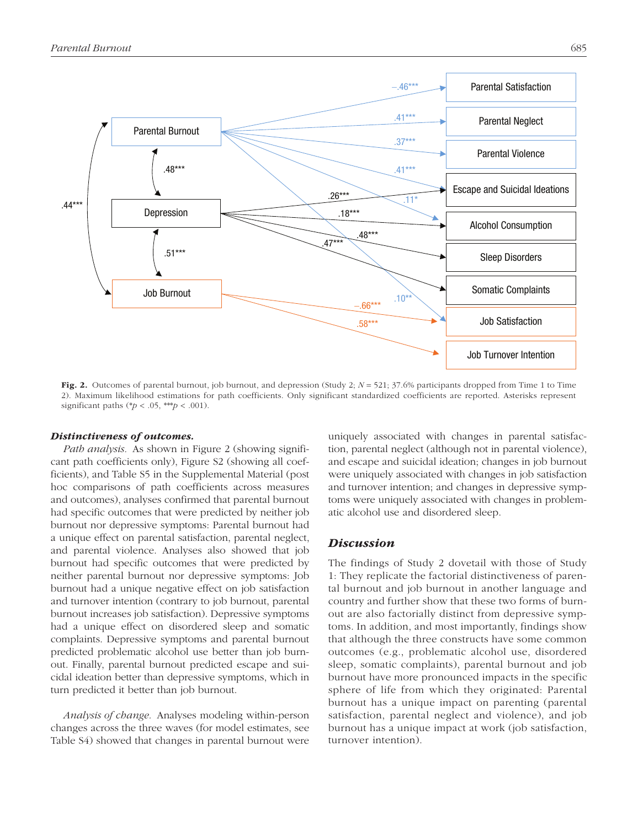

Fig. 2. Outcomes of parental burnout, job burnout, and depression (Study 2;  $N = 521$ ; 37.6% participants dropped from Time 1 to Time 2). Maximum likelihood estimations for path coefficients. Only significant standardized coefficients are reported. Asterisks represent significant paths (\* $p < .05$ , \*\*\* $p < .001$ ).

#### *Distinctiveness of outcomes.*

*Path analysis.* As shown in Figure 2 (showing significant path coefficients only), Figure S2 (showing all coefficients), and Table S5 in the Supplemental Material (post hoc comparisons of path coefficients across measures and outcomes), analyses confirmed that parental burnout had specific outcomes that were predicted by neither job burnout nor depressive symptoms: Parental burnout had a unique effect on parental satisfaction, parental neglect, and parental violence. Analyses also showed that job burnout had specific outcomes that were predicted by neither parental burnout nor depressive symptoms: Job burnout had a unique negative effect on job satisfaction and turnover intention (contrary to job burnout, parental burnout increases job satisfaction). Depressive symptoms had a unique effect on disordered sleep and somatic complaints. Depressive symptoms and parental burnout predicted problematic alcohol use better than job burnout. Finally, parental burnout predicted escape and suicidal ideation better than depressive symptoms, which in turn predicted it better than job burnout.

*Analysis of change.* Analyses modeling within-person changes across the three waves (for model estimates, see Table S4) showed that changes in parental burnout were uniquely associated with changes in parental satisfaction, parental neglect (although not in parental violence), and escape and suicidal ideation; changes in job burnout were uniquely associated with changes in job satisfaction and turnover intention; and changes in depressive symptoms were uniquely associated with changes in problematic alcohol use and disordered sleep.

#### *Discussion*

The findings of Study 2 dovetail with those of Study 1: They replicate the factorial distinctiveness of parental burnout and job burnout in another language and country and further show that these two forms of burnout are also factorially distinct from depressive symptoms. In addition, and most importantly, findings show that although the three constructs have some common outcomes (e.g., problematic alcohol use, disordered sleep, somatic complaints), parental burnout and job burnout have more pronounced impacts in the specific sphere of life from which they originated: Parental burnout has a unique impact on parenting (parental satisfaction, parental neglect and violence), and job burnout has a unique impact at work (job satisfaction, turnover intention).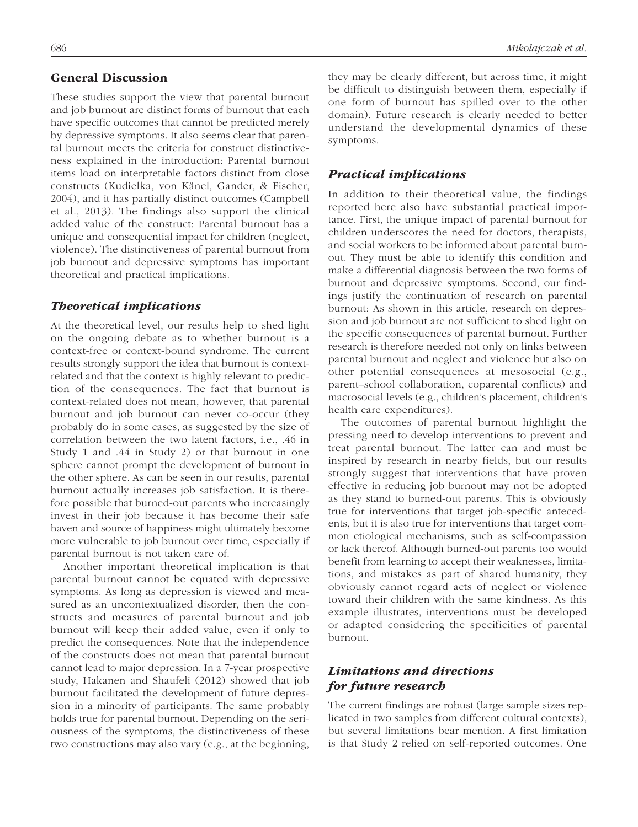## General Discussion

These studies support the view that parental burnout and job burnout are distinct forms of burnout that each have specific outcomes that cannot be predicted merely by depressive symptoms. It also seems clear that parental burnout meets the criteria for construct distinctiveness explained in the introduction: Parental burnout items load on interpretable factors distinct from close constructs (Kudielka, von Känel, Gander, & Fischer, 2004), and it has partially distinct outcomes (Campbell et al., 2013). The findings also support the clinical added value of the construct: Parental burnout has a unique and consequential impact for children (neglect, violence). The distinctiveness of parental burnout from job burnout and depressive symptoms has important theoretical and practical implications.

#### *Theoretical implications*

At the theoretical level, our results help to shed light on the ongoing debate as to whether burnout is a context-free or context-bound syndrome. The current results strongly support the idea that burnout is contextrelated and that the context is highly relevant to prediction of the consequences. The fact that burnout is context-related does not mean, however, that parental burnout and job burnout can never co-occur (they probably do in some cases, as suggested by the size of correlation between the two latent factors, i.e., .46 in Study 1 and .44 in Study 2) or that burnout in one sphere cannot prompt the development of burnout in the other sphere. As can be seen in our results, parental burnout actually increases job satisfaction. It is therefore possible that burned-out parents who increasingly invest in their job because it has become their safe haven and source of happiness might ultimately become more vulnerable to job burnout over time, especially if parental burnout is not taken care of.

Another important theoretical implication is that parental burnout cannot be equated with depressive symptoms. As long as depression is viewed and measured as an uncontextualized disorder, then the constructs and measures of parental burnout and job burnout will keep their added value, even if only to predict the consequences. Note that the independence of the constructs does not mean that parental burnout cannot lead to major depression. In a 7-year prospective study, Hakanen and Shaufeli (2012) showed that job burnout facilitated the development of future depression in a minority of participants. The same probably holds true for parental burnout. Depending on the seriousness of the symptoms, the distinctiveness of these two constructions may also vary (e.g., at the beginning, they may be clearly different, but across time, it might be difficult to distinguish between them, especially if one form of burnout has spilled over to the other domain). Future research is clearly needed to better understand the developmental dynamics of these symptoms.

## *Practical implications*

In addition to their theoretical value, the findings reported here also have substantial practical importance. First, the unique impact of parental burnout for children underscores the need for doctors, therapists, and social workers to be informed about parental burnout. They must be able to identify this condition and make a differential diagnosis between the two forms of burnout and depressive symptoms. Second, our findings justify the continuation of research on parental burnout: As shown in this article, research on depression and job burnout are not sufficient to shed light on the specific consequences of parental burnout. Further research is therefore needed not only on links between parental burnout and neglect and violence but also on other potential consequences at mesosocial (e.g., parent–school collaboration, coparental conflicts) and macrosocial levels (e.g., children's placement, children's health care expenditures).

The outcomes of parental burnout highlight the pressing need to develop interventions to prevent and treat parental burnout. The latter can and must be inspired by research in nearby fields, but our results strongly suggest that interventions that have proven effective in reducing job burnout may not be adopted as they stand to burned-out parents. This is obviously true for interventions that target job-specific antecedents, but it is also true for interventions that target common etiological mechanisms, such as self-compassion or lack thereof. Although burned-out parents too would benefit from learning to accept their weaknesses, limitations, and mistakes as part of shared humanity, they obviously cannot regard acts of neglect or violence toward their children with the same kindness. As this example illustrates, interventions must be developed or adapted considering the specificities of parental burnout.

# *Limitations and directions for future research*

The current findings are robust (large sample sizes replicated in two samples from different cultural contexts), but several limitations bear mention. A first limitation is that Study 2 relied on self-reported outcomes. One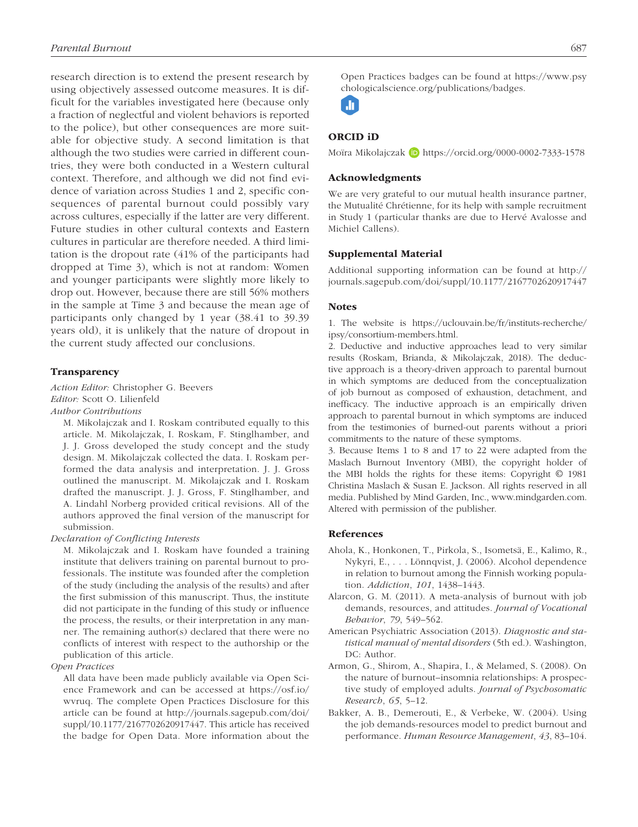research direction is to extend the present research by using objectively assessed outcome measures. It is difficult for the variables investigated here (because only a fraction of neglectful and violent behaviors is reported to the police), but other consequences are more suitable for objective study. A second limitation is that although the two studies were carried in different countries, they were both conducted in a Western cultural context. Therefore, and although we did not find evidence of variation across Studies 1 and 2, specific consequences of parental burnout could possibly vary across cultures, especially if the latter are very different. Future studies in other cultural contexts and Eastern cultures in particular are therefore needed. A third limitation is the dropout rate (41% of the participants had dropped at Time 3), which is not at random: Women and younger participants were slightly more likely to drop out. However, because there are still 56% mothers in the sample at Time 3 and because the mean age of participants only changed by 1 year (38.41 to 39.39 years old), it is unlikely that the nature of dropout in the current study affected our conclusions.

#### **Transparency**

*Action Editor:* Christopher G. Beevers *Editor:* Scott O. Lilienfeld

*Author Contributions*

M. Mikolajczak and I. Roskam contributed equally to this article. M. Mikolajczak, I. Roskam, F. Stinglhamber, and J. J. Gross developed the study concept and the study design. M. Mikolajczak collected the data. I. Roskam performed the data analysis and interpretation. J. J. Gross outlined the manuscript. M. Mikolajczak and I. Roskam drafted the manuscript. J. J. Gross, F. Stinglhamber, and A. Lindahl Norberg provided critical revisions. All of the authors approved the final version of the manuscript for submission.

*Declaration of Conflicting Interests*

M. Mikolajczak and I. Roskam have founded a training institute that delivers training on parental burnout to professionals. The institute was founded after the completion of the study (including the analysis of the results) and after the first submission of this manuscript. Thus, the institute did not participate in the funding of this study or influence the process, the results, or their interpretation in any manner. The remaining author(s) declared that there were no conflicts of interest with respect to the authorship or the publication of this article.

*Open Practices*

All data have been made publicly available via Open Science Framework and can be accessed at [https://osf.io/](https://osf.io/wvruq) [wvruq.](https://osf.io/wvruq) The complete Open Practices Disclosure for this article can be found at [http://journals.sagepub.com/doi/](http://journals.sagepub.com/doi/suppl/10.1177/2167702620917447) [suppl/10.1177/2167702620917447](http://journals.sagepub.com/doi/suppl/10.1177/2167702620917447). This article has received the badge for Open Data. More information about the Open Practices badges can be found at [https://www.psy](https://www.psychologicalscience.org/publications/badges) [chologicalscience.org/publications/badges.](https://www.psychologicalscience.org/publications/badges)

**JI** 

#### ORCID iD

Moïra Mikolajczak D <https://orcid.org/0000-0002-7333-1578>

#### Acknowledgments

We are very grateful to our mutual health insurance partner, the Mutualité Chrétienne, for its help with sample recruitment in Study 1 (particular thanks are due to Hervé Avalosse and Michiel Callens).

#### Supplemental Material

Additional supporting information can be found at [http://](http://journals.sagepub.com/doi/suppl/10.1177/2167702620917447) [journals.sagepub.com/doi/suppl/10.1177/2167702620917447](http://journals.sagepub.com/doi/suppl/10.1177/2167702620917447)

#### **Notes**

1. The website is [https://uclouvain.be/fr/instituts-recherche/](https://uclouvain.be/fr/instituts-recherche/ipsy/consortium-members.html) [ipsy/consortium-members.html](https://uclouvain.be/fr/instituts-recherche/ipsy/consortium-members.html).

2. Deductive and inductive approaches lead to very similar results (Roskam, Brianda, & Mikolajczak, 2018). The deductive approach is a theory-driven approach to parental burnout in which symptoms are deduced from the conceptualization of job burnout as composed of exhaustion, detachment, and inefficacy. The inductive approach is an empirically driven approach to parental burnout in which symptoms are induced from the testimonies of burned-out parents without a priori commitments to the nature of these symptoms.

3. Because Items 1 to 8 and 17 to 22 were adapted from the Maslach Burnout Inventory (MBI), the copyright holder of the MBI holds the rights for these items: Copyright © 1981 Christina Maslach & Susan E. Jackson. All rights reserved in all media. Published by Mind Garden, Inc., [www.mindgarden.com.](www.mindgarden.com) Altered with permission of the publisher.

#### References

- Ahola, K., Honkonen, T., Pirkola, S., Isometsä, E., Kalimo, R., Nykyri, E., . . . Lönnqvist, J. (2006). Alcohol dependence in relation to burnout among the Finnish working population. *Addiction*, *101*, 1438–1443.
- Alarcon, G. M. (2011). A meta-analysis of burnout with job demands, resources, and attitudes. *Journal of Vocational Behavior*, *79*, 549–562.
- American Psychiatric Association (2013). *Diagnostic and statistical manual of mental disorders* (5th ed.). Washington, DC: Author.
- Armon, G., Shirom, A., Shapira, I., & Melamed, S. (2008). On the nature of burnout–insomnia relationships: A prospective study of employed adults. *Journal of Psychosomatic Research*, *65*, 5–12.
- Bakker, A. B., Demerouti, E., & Verbeke, W. (2004). Using the job demands-resources model to predict burnout and performance. *Human Resource Management*, *43*, 83–104.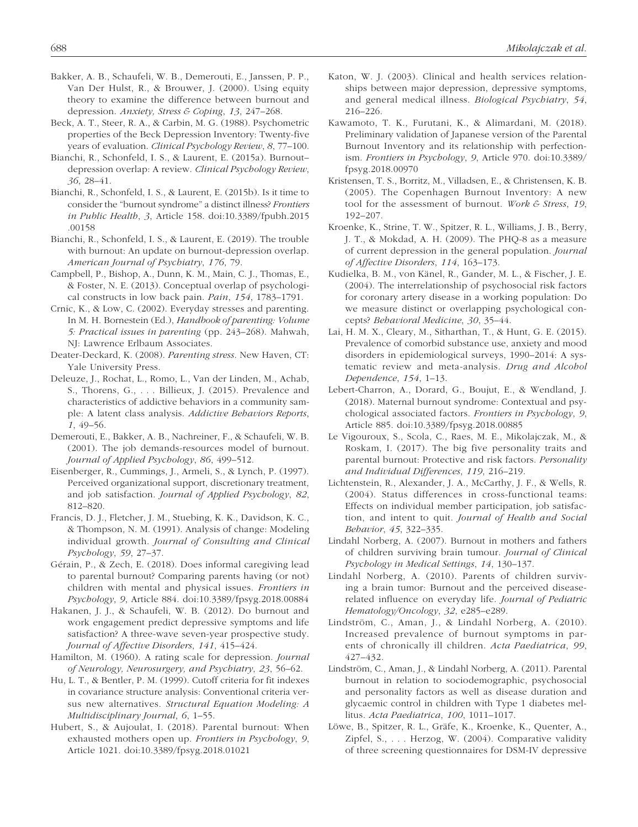- Bakker, A. B., Schaufeli, W. B., Demerouti, E., Janssen, P. P., Van Der Hulst, R., & Brouwer, J. (2000). Using equity theory to examine the difference between burnout and depression. *Anxiety, Stress & Coping*, *13*, 247–268.
- Beck, A. T., Steer, R. A., & Carbin, M. G. (1988). Psychometric properties of the Beck Depression Inventory: Twenty-five years of evaluation. *Clinical Psychology Review*, *8*, 77–100.
- Bianchi, R., Schonfeld, I. S., & Laurent, E. (2015a). Burnout– depression overlap: A review. *Clinical Psychology Review*, *36*, 28–41.
- Bianchi, R., Schonfeld, I. S., & Laurent, E. (2015b). Is it time to consider the "burnout syndrome" a distinct illness? *Frontiers in Public Health*, *3*, Article 158. doi:10.3389/fpubh.2015 .00158
- Bianchi, R., Schonfeld, I. S., & Laurent, E. (2019). The trouble with burnout: An update on burnout-depression overlap. *American Journal of Psychiatry*, *176*, 79.
- Campbell, P., Bishop, A., Dunn, K. M., Main, C. J., Thomas, E., & Foster, N. E. (2013). Conceptual overlap of psychological constructs in low back pain. *Pain*, *154*, 1783–1791.
- Crnic, K., & Low, C. (2002). Everyday stresses and parenting. In M. H. Bornestein (Ed.), *Handbook of parenting: Volume 5: Practical issues in parenting* (pp. 243–268). Mahwah, NJ: Lawrence Erlbaum Associates.
- Deater-Deckard, K. (2008). *Parenting stress*. New Haven, CT: Yale University Press.
- Deleuze, J., Rochat, L., Romo, L., Van der Linden, M., Achab, S., Thorens, G., . . . Billieux, J. (2015). Prevalence and characteristics of addictive behaviors in a community sample: A latent class analysis. *Addictive Behaviors Reports*, *1*, 49–56.
- Demerouti, E., Bakker, A. B., Nachreiner, F., & Schaufeli, W. B. (2001). The job demands-resources model of burnout. *Journal of Applied Psychology*, *86*, 499–512.
- Eisenberger, R., Cummings, J., Armeli, S., & Lynch, P. (1997). Perceived organizational support, discretionary treatment, and job satisfaction. *Journal of Applied Psychology*, *82*, 812–820.
- Francis, D. J., Fletcher, J. M., Stuebing, K. K., Davidson, K. C., & Thompson, N. M. (1991). Analysis of change: Modeling individual growth. *Journal of Consulting and Clinical Psychology*, *59*, 27–37.
- Gérain, P., & Zech, E. (2018). Does informal caregiving lead to parental burnout? Comparing parents having (or not) children with mental and physical issues. *Frontiers in Psychology*, *9*, Article 884. doi:10.3389/fpsyg.2018.00884
- Hakanen, J. J., & Schaufeli, W. B. (2012). Do burnout and work engagement predict depressive symptoms and life satisfaction? A three-wave seven-year prospective study. *Journal of Affective Disorders*, *141*, 415–424.
- Hamilton, M. (1960). A rating scale for depression. *Journal of Neurology, Neurosurgery, and Psychiatry*, *23*, 56–62.
- Hu, L. T., & Bentler, P. M. (1999). Cutoff criteria for fit indexes in covariance structure analysis: Conventional criteria versus new alternatives. *Structural Equation Modeling: A Multidisciplinary Journal*, *6*, 1–55.
- Hubert, S., & Aujoulat, I. (2018). Parental burnout: When exhausted mothers open up. *Frontiers in Psychology*, *9*, Article 1021. doi:10.3389/fpsyg.2018.01021
- Katon, W. J. (2003). Clinical and health services relationships between major depression, depressive symptoms, and general medical illness. *Biological Psychiatry*, *54*, 216–226.
- Kawamoto, T. K., Furutani, K., & Alimardani, M. (2018). Preliminary validation of Japanese version of the Parental Burnout Inventory and its relationship with perfectionism. *Frontiers in Psychology*, *9*, Article 970. doi:10.3389/ fpsyg.2018.00970
- Kristensen, T. S., Borritz, M., Villadsen, E., & Christensen, K. B. (2005). The Copenhagen Burnout Inventory: A new tool for the assessment of burnout. *Work & Stress*, *19*, 192–207.
- Kroenke, K., Strine, T. W., Spitzer, R. L., Williams, J. B., Berry, J. T., & Mokdad, A. H. (2009). The PHQ-8 as a measure of current depression in the general population. *Journal of Affective Disorders*, *114*, 163–173.
- Kudielka, B. M., von Känel, R., Gander, M. L., & Fischer, J. E. (2004). The interrelationship of psychosocial risk factors for coronary artery disease in a working population: Do we measure distinct or overlapping psychological concepts? *Behavioral Medicine*, *30*, 35–44.
- Lai, H. M. X., Cleary, M., Sitharthan, T., & Hunt, G. E. (2015). Prevalence of comorbid substance use, anxiety and mood disorders in epidemiological surveys, 1990–2014: A systematic review and meta-analysis. *Drug and Alcohol Dependence*, *154*, 1–13.
- Lebert-Charron, A., Dorard, G., Boujut, E., & Wendland, J. (2018). Maternal burnout syndrome: Contextual and psychological associated factors. *Frontiers in Psychology*, *9*, Article 885. doi:10.3389/fpsyg.2018.00885
- Le Vigouroux, S., Scola, C., Raes, M. E., Mikolajczak, M., & Roskam, I. (2017). The big five personality traits and parental burnout: Protective and risk factors. *Personality and Individual Differences*, *119*, 216–219.
- Lichtenstein, R., Alexander, J. A., McCarthy, J. F., & Wells, R. (2004). Status differences in cross-functional teams: Effects on individual member participation, job satisfaction, and intent to quit. *Journal of Health and Social Behavior*, *45*, 322–335.
- Lindahl Norberg, A. (2007). Burnout in mothers and fathers of children surviving brain tumour. *Journal of Clinical Psychology in Medical Settings*, *14*, 130–137.
- Lindahl Norberg, A. (2010). Parents of children surviving a brain tumor: Burnout and the perceived diseaserelated influence on everyday life. *Journal of Pediatric Hematology/Oncology*, *32*, e285–e289.
- Lindström, C., Aman, J., & Lindahl Norberg, A. (2010). Increased prevalence of burnout symptoms in parents of chronically ill children. *Acta Paediatrica*, *99*, 427–432.
- Lindström, C., Aman, J., & Lindahl Norberg, A. (2011). Parental burnout in relation to sociodemographic, psychosocial and personality factors as well as disease duration and glycaemic control in children with Type 1 diabetes mellitus. *Acta Paediatrica*, *100*, 1011–1017.
- Löwe, B., Spitzer, R. L., Gräfe, K., Kroenke, K., Quenter, A., Zipfel, S., . . . Herzog, W. (2004). Comparative validity of three screening questionnaires for DSM-IV depressive